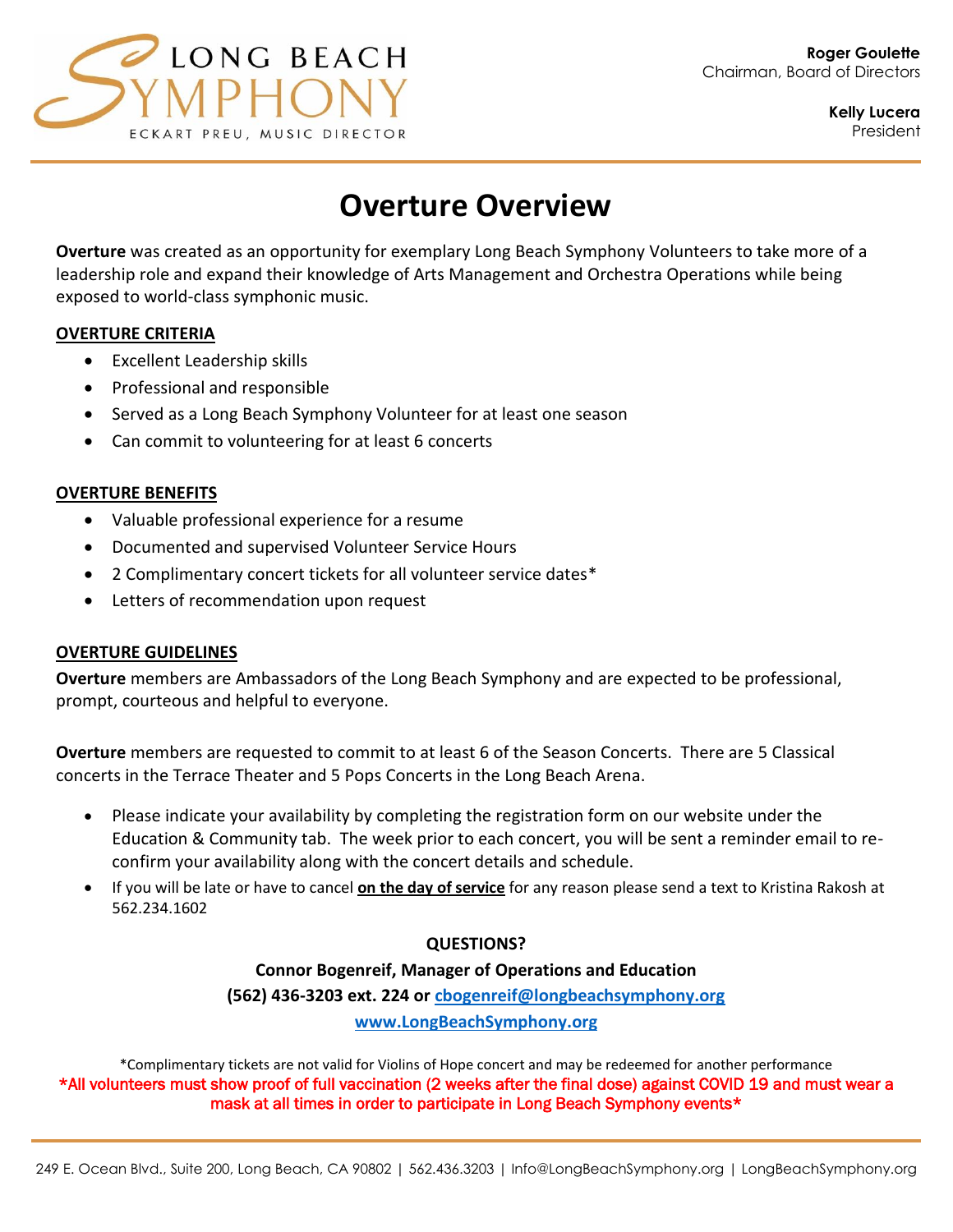

**Kelly Lucera** President

# **Overture Overview**

**Overture** was created as an opportunity for exemplary Long Beach Symphony Volunteers to take more of a leadership role and expand their knowledge of Arts Management and Orchestra Operations while being exposed to world-class symphonic music.

### **OVERTURE CRITERIA**

- Excellent Leadership skills
- Professional and responsible
- Served as a Long Beach Symphony Volunteer for at least one season
- Can commit to volunteering for at least 6 concerts

### **OVERTURE BENEFITS**

- Valuable professional experience for a resume
- Documented and supervised Volunteer Service Hours
- 2 Complimentary concert tickets for all volunteer service dates\*
- Letters of recommendation upon request

### **OVERTURE GUIDELINES**

**Overture** members are Ambassadors of the Long Beach Symphony and are expected to be professional, prompt, courteous and helpful to everyone.

**Overture** members are requested to commit to at least 6 of the Season Concerts. There are 5 Classical concerts in the Terrace Theater and 5 Pops Concerts in the Long Beach Arena.

- Please indicate your availability by completing the registration form on our website under the Education & Community tab. The week prior to each concert, you will be sent a reminder email to reconfirm your availability along with the concert details and schedule.
- If you will be late or have to cancel **on the day of service** for any reason please send a text to Kristina Rakosh at 562.234.1602

### **QUESTIONS?**

### **Connor Bogenreif, Manager of Operations and Education**

**(562) 436-3203 ext. 224 or [cbogenreif@longbeachsymphony.org](mailto:cbogenreif@longbeachsymphony.org)**

**www.LongBeachSymphony.org**

\*Complimentary tickets are not valid for Violins of Hope concert and may be redeemed for another performance \*All volunteers must show proof of full vaccination (2 weeks after the final dose) against COVID 19 and must wear a mask at all times in order to participate in Long Beach Symphony events\*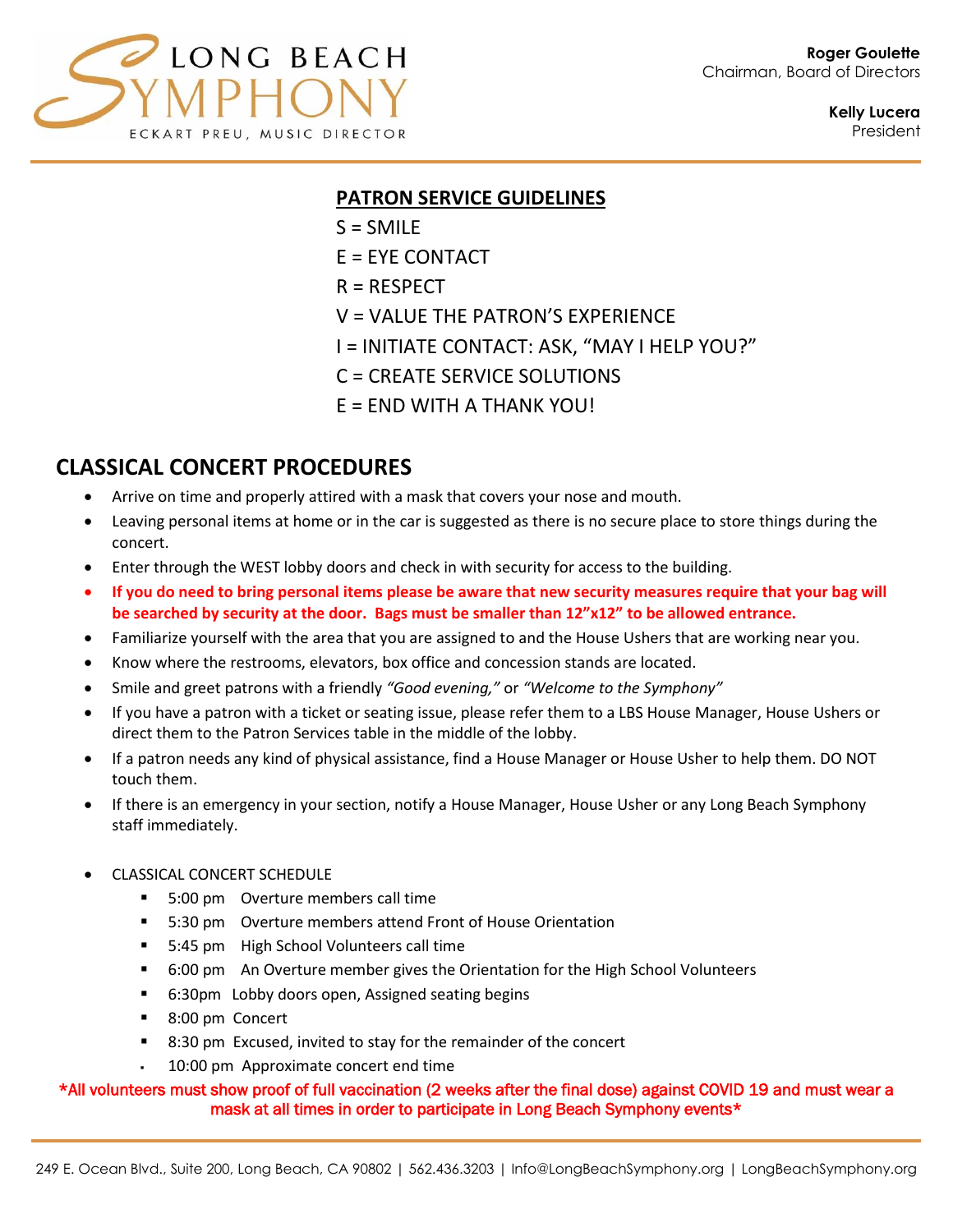

**Kelly Lucera** President

### **PATRON SERVICE GUIDELINES**

- $S = SMILE$
- E = EYE CONTACT
- $R = RESPECT$
- V = VALUE THE PATRON'S EXPERIENCE
- I = INITIATE CONTACT: ASK, "MAY I HELP YOU?"
- C = CREATE SERVICE SOLUTIONS
- $E = END$  WITH A THANK YOU!

### **CLASSICAL CONCERT PROCEDURES**

- Arrive on time and properly attired with a mask that covers your nose and mouth.
- Leaving personal items at home or in the car is suggested as there is no secure place to store things during the concert.
- Enter through the WEST lobby doors and check in with security for access to the building.
- **If you do need to bring personal items please be aware that new security measures require that your bag will be searched by security at the door. Bags must be smaller than 12"x12" to be allowed entrance.**
- Familiarize yourself with the area that you are assigned to and the House Ushers that are working near you.
- Know where the restrooms, elevators, box office and concession stands are located.
- Smile and greet patrons with a friendly *"Good evening,"* or *"Welcome to the Symphony"*
- If you have a patron with a ticket or seating issue, please refer them to a LBS House Manager, House Ushers or direct them to the Patron Services table in the middle of the lobby.
- If a patron needs any kind of physical assistance, find a House Manager or House Usher to help them. DO NOT touch them.
- If there is an emergency in your section, notify a House Manager, House Usher or any Long Beach Symphony staff immediately.
- CLASSICAL CONCERT SCHEDULE
	- 5:00 pm Overture members call time
	- 5:30 pm Overture members attend Front of House Orientation
	- 5:45 pm High School Volunteers call time
	- 6:00 pm An Overture member gives the Orientation for the High School Volunteers
	- 6:30pm Lobby doors open, Assigned seating begins
	- 8:00 pm Concert
	- 8:30 pm Excused, invited to stay for the remainder of the concert
	- 10:00 pm Approximate concert end time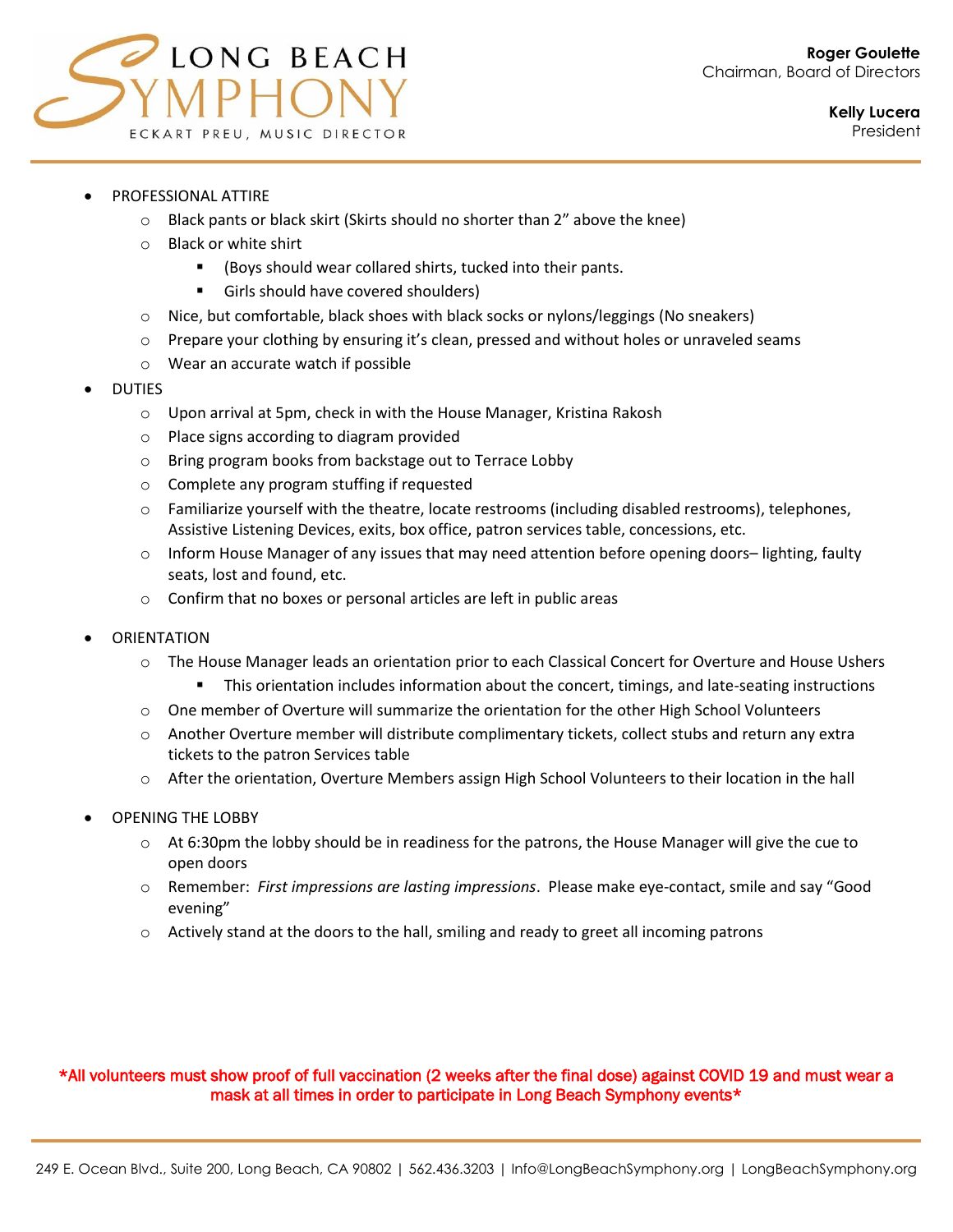

- PROFESSIONAL ATTIRE
	- $\circ$  Black pants or black skirt (Skirts should no shorter than 2" above the knee)
	- o Black or white shirt
		- (Boys should wear collared shirts, tucked into their pants.
		- Girls should have covered shoulders)
	- $\circ$  Nice, but comfortable, black shoes with black socks or nylons/leggings (No sneakers)
	- $\circ$  Prepare your clothing by ensuring it's clean, pressed and without holes or unraveled seams
	- o Wear an accurate watch if possible
- DUTIES
	- o Upon arrival at 5pm, check in with the House Manager, Kristina Rakosh
	- o Place signs according to diagram provided
	- o Bring program books from backstage out to Terrace Lobby
	- o Complete any program stuffing if requested
	- $\circ$  Familiarize yourself with the theatre, locate restrooms (including disabled restrooms), telephones, Assistive Listening Devices, exits, box office, patron services table, concessions, etc.
	- $\circ$  Inform House Manager of any issues that may need attention before opening doors– lighting, faulty seats, lost and found, etc.
	- o Confirm that no boxes or personal articles are left in public areas
- **ORIENTATION** 
	- $\circ$  The House Manager leads an orientation prior to each Classical Concert for Overture and House Ushers
		- This orientation includes information about the concert, timings, and late-seating instructions
	- o One member of Overture will summarize the orientation for the other High School Volunteers
	- $\circ$  Another Overture member will distribute complimentary tickets, collect stubs and return any extra tickets to the patron Services table
	- o After the orientation, Overture Members assign High School Volunteers to their location in the hall
- OPENING THE LOBBY
	- $\circ$  At 6:30pm the lobby should be in readiness for the patrons, the House Manager will give the cue to open doors
	- o Remember: *First impressions are lasting impressions*. Please make eye-contact, smile and say "Good evening"
	- $\circ$  Actively stand at the doors to the hall, smiling and ready to greet all incoming patrons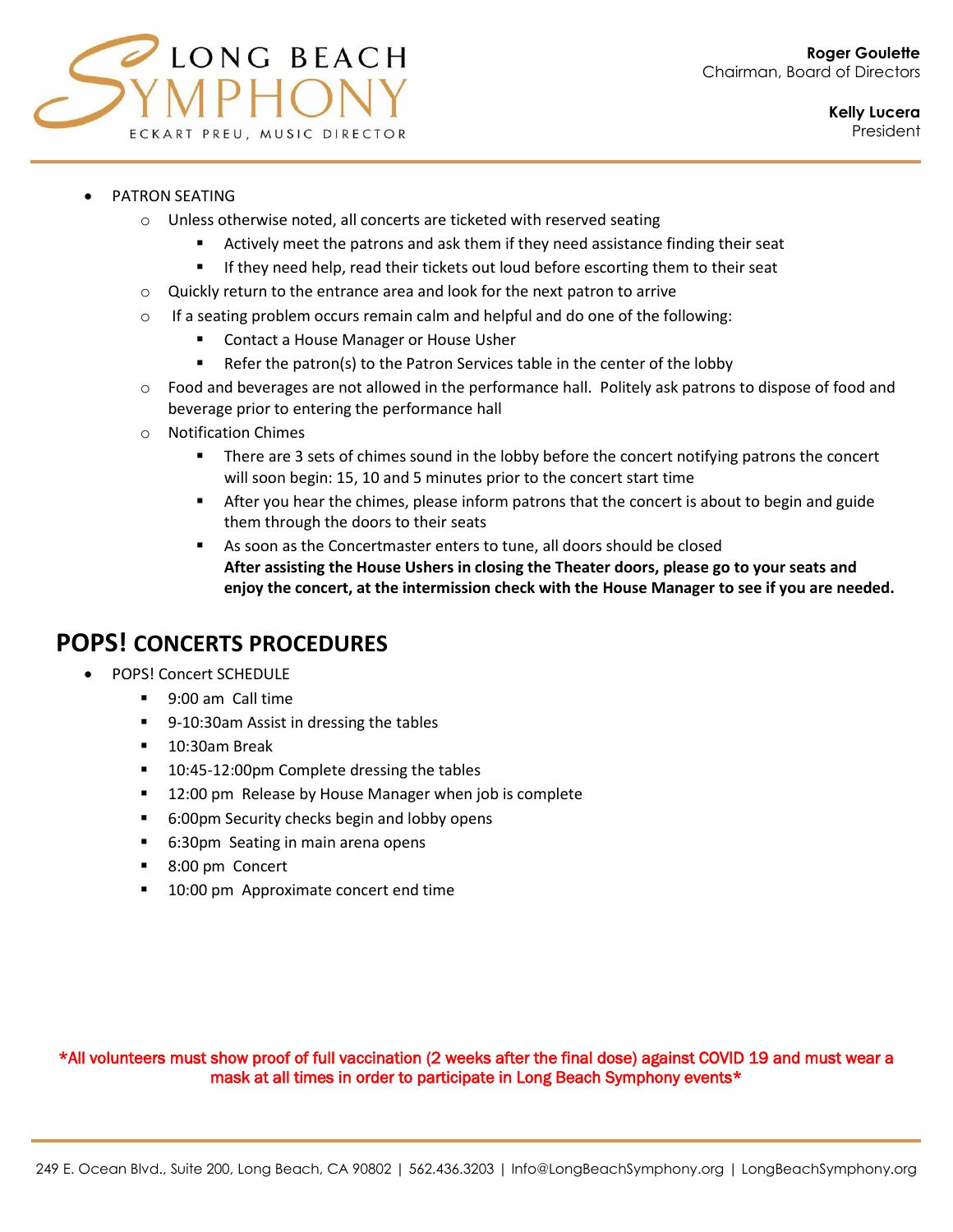

#### • PATRON SEATING

- o Unless otherwise noted, all concerts are ticketed with reserved seating
	- Actively meet the patrons and ask them if they need assistance finding their seat
	- **■** If they need help, read their tickets out loud before escorting them to their seat
- o Quickly return to the entrance area and look for the next patron to arrive
- $\circ$  If a seating problem occurs remain calm and helpful and do one of the following:
	- Contact a House Manager or House Usher
	- Refer the patron(s) to the Patron Services table in the center of the lobby
- $\circ$  Food and beverages are not allowed in the performance hall. Politely ask patrons to dispose of food and beverage prior to entering the performance hall
- o Notification Chimes
	- **•** There are 3 sets of chimes sound in the lobby before the concert notifying patrons the concert will soon begin: 15, 10 and 5 minutes prior to the concert start time
	- **EXTER 10** After you hear the chimes, please inform patrons that the concert is about to begin and guide them through the doors to their seats
	- As soon as the Concertmaster enters to tune, all doors should be closed **After assisting the House Ushers in closing the Theater doors, please go to your seats and enjoy the concert, at the intermission check with the House Manager to see if you are needed.**

## **POPS! CONCERTS PROCEDURES**

- POPS! Concert SCHEDULE
	- 9:00 am Call time
	- 9-10:30am Assist in dressing the tables
	- 10:30am Break
	- 10:45-12:00pm Complete dressing the tables
	- 12:00 pm Release by House Manager when job is complete
	- 6:00pm Security checks begin and lobby opens
	- 6:30pm Seating in main arena opens
	- 8:00 pm Concert
	- 10:00 pm Approximate concert end time